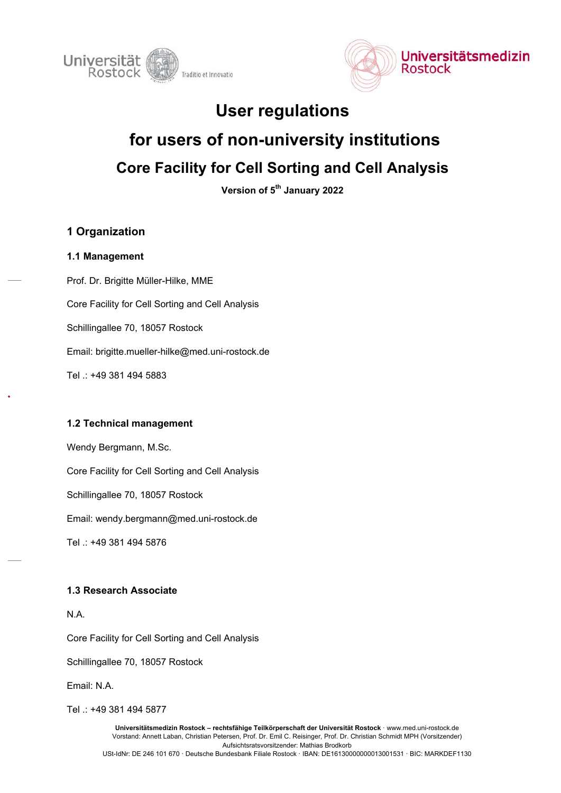



# User regulations

# for users of non-university institutions Core Facility for Cell Sorting and Cell Analysis

Version of 5<sup>th</sup> January 2022

# 1 Organization

## 1.1 Management

Prof. Dr. Brigitte Müller-Hilke, MME Core Facility for Cell Sorting and Cell Analysis Schillingallee 70, 18057 Rostock Email: brigitte.mueller-hilke@med.uni-rostock.de Tel .: +49 381 494 5883

## 1.2 Technical management

Wendy Bergmann, M.Sc. Core Facility for Cell Sorting and Cell Analysis Schillingallee 70, 18057 Rostock Email: wendy.bergmann@med.uni-rostock.de Tel .: +49 381 494 5876

# 1.3 Research Associate

N.A.

Core Facility for Cell Sorting and Cell Analysis

Schillingallee 70, 18057 Rostock

Email: N.A.

Tel : +49 381 494 5877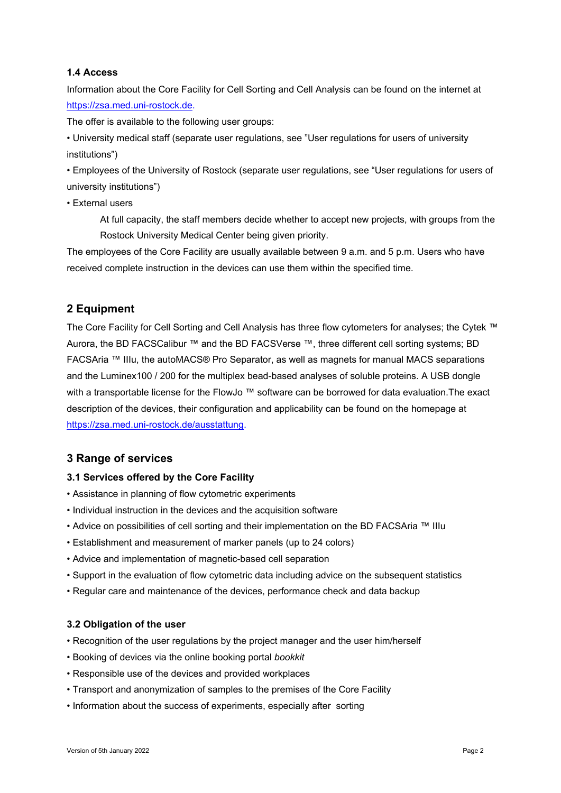#### 1.4 Access

Information about the Core Facility for Cell Sorting and Cell Analysis can be found on the internet at https://zsa.med.uni-rostock.de.

The offer is available to the following user groups:

• University medical staff (separate user regulations, see "User regulations for users of university institutions")

• Employees of the University of Rostock (separate user regulations, see "User regulations for users of university institutions")

• External users

At full capacity, the staff members decide whether to accept new projects, with groups from the Rostock University Medical Center being given priority.

The employees of the Core Facility are usually available between 9 a.m. and 5 p.m. Users who have received complete instruction in the devices can use them within the specified time.

## 2 Equipment

The Core Facility for Cell Sorting and Cell Analysis has three flow cytometers for analyses; the Cytek ™ Aurora, the BD FACSCalibur ™ and the BD FACSVerse ™, three different cell sorting systems; BD FACSAria ™ IIIu, the autoMACS® Pro Separator, as well as magnets for manual MACS separations and the Luminex100 / 200 for the multiplex bead-based analyses of soluble proteins. A USB dongle with a transportable license for the FlowJo ™ software can be borrowed for data evaluation. The exact description of the devices, their configuration and applicability can be found on the homepage at https://zsa.med.uni-rostock.de/ausstattung.

## 3 Range of services

#### 3.1 Services offered by the Core Facility

- Assistance in planning of flow cytometric experiments
- Individual instruction in the devices and the acquisition software
- Advice on possibilities of cell sorting and their implementation on the BD FACSAria ™ IIIu
- Establishment and measurement of marker panels (up to 24 colors)
- Advice and implementation of magnetic-based cell separation
- Support in the evaluation of flow cytometric data including advice on the subsequent statistics
- Regular care and maintenance of the devices, performance check and data backup

#### 3.2 Obligation of the user

- Recognition of the user regulations by the project manager and the user him/herself
- Booking of devices via the online booking portal *bookkit*
- Responsible use of the devices and provided workplaces
- Transport and anonymization of samples to the premises of the Core Facility
- Information about the success of experiments, especially after sorting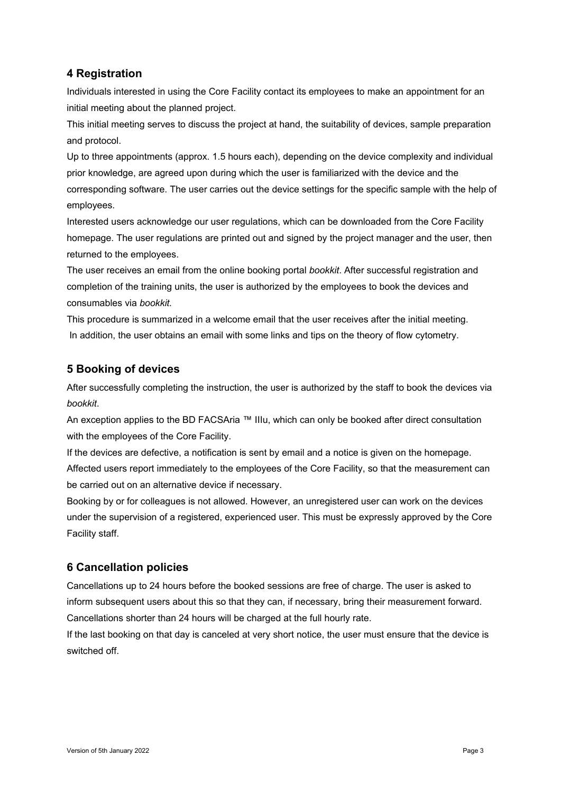# 4 Registration

Individuals interested in using the Core Facility contact its employees to make an appointment for an initial meeting about the planned project.

This initial meeting serves to discuss the project at hand, the suitability of devices, sample preparation and protocol.

Up to three appointments (approx. 1.5 hours each), depending on the device complexity and individual prior knowledge, are agreed upon during which the user is familiarized with the device and the corresponding software. The user carries out the device settings for the specific sample with the help of employees.

Interested users acknowledge our user regulations, which can be downloaded from the Core Facility homepage. The user regulations are printed out and signed by the project manager and the user, then returned to the employees.

The user receives an email from the online booking portal *bookkit*. After successful registration and completion of the training units, the user is authorized by the employees to book the devices and consumables via *bookkit.*

This procedure is summarized in a welcome email that the user receives after the initial meeting. In addition, the user obtains an email with some links and tips on the theory of flow cytometry.

# 5 Booking of devices

After successfully completing the instruction, the user is authorized by the staff to book the devices via *bookkit*.

An exception applies to the BD FACSAria ™ IIIu, which can only be booked after direct consultation with the employees of the Core Facility.

If the devices are defective, a notification is sent by email and a notice is given on the homepage. Affected users report immediately to the employees of the Core Facility, so that the measurement can be carried out on an alternative device if necessary.

Booking by or for colleagues is not allowed. However, an unregistered user can work on the devices under the supervision of a registered, experienced user. This must be expressly approved by the Core Facility staff.

# 6 Cancellation policies

Cancellations up to 24 hours before the booked sessions are free of charge. The user is asked to inform subsequent users about this so that they can, if necessary, bring their measurement forward. Cancellations shorter than 24 hours will be charged at the full hourly rate.

If the last booking on that day is canceled at very short notice, the user must ensure that the device is switched off.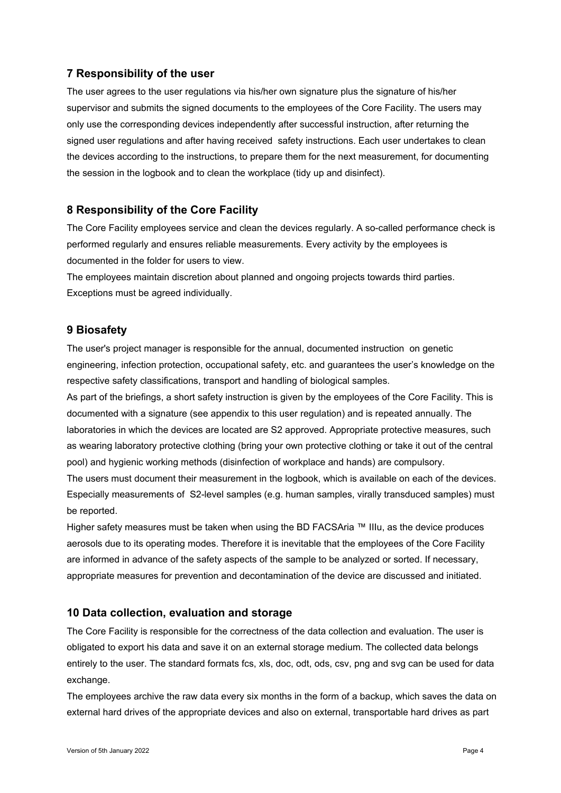# 7 Responsibility of the user

The user agrees to the user regulations via his/her own signature plus the signature of his/her supervisor and submits the signed documents to the employees of the Core Facility. The users may only use the corresponding devices independently after successful instruction, after returning the signed user regulations and after having received safety instructions. Each user undertakes to clean the devices according to the instructions, to prepare them for the next measurement, for documenting the session in the logbook and to clean the workplace (tidy up and disinfect).

## 8 Responsibility of the Core Facility

The Core Facility employees service and clean the devices regularly. A so-called performance check is performed regularly and ensures reliable measurements. Every activity by the employees is documented in the folder for users to view.

The employees maintain discretion about planned and ongoing projects towards third parties. Exceptions must be agreed individually.

## 9 Biosafety

The user's project manager is responsible for the annual, documented instruction on genetic engineering, infection protection, occupational safety, etc. and guarantees the user's knowledge on the respective safety classifications, transport and handling of biological samples.

As part of the briefings, a short safety instruction is given by the employees of the Core Facility. This is documented with a signature (see appendix to this user regulation) and is repeated annually. The laboratories in which the devices are located are S2 approved. Appropriate protective measures, such as wearing laboratory protective clothing (bring your own protective clothing or take it out of the central pool) and hygienic working methods (disinfection of workplace and hands) are compulsory.

The users must document their measurement in the logbook, which is available on each of the devices. Especially measurements of S2-level samples (e.g. human samples, virally transduced samples) must be reported.

Higher safety measures must be taken when using the BD FACSAria ™ IIIu, as the device produces aerosols due to its operating modes. Therefore it is inevitable that the employees of the Core Facility are informed in advance of the safety aspects of the sample to be analyzed or sorted. If necessary, appropriate measures for prevention and decontamination of the device are discussed and initiated.

## 10 Data collection, evaluation and storage

The Core Facility is responsible for the correctness of the data collection and evaluation. The user is obligated to export his data and save it on an external storage medium. The collected data belongs entirely to the user. The standard formats fcs, xls, doc, odt, ods, csv, png and svg can be used for data exchange.

The employees archive the raw data every six months in the form of a backup, which saves the data on external hard drives of the appropriate devices and also on external, transportable hard drives as part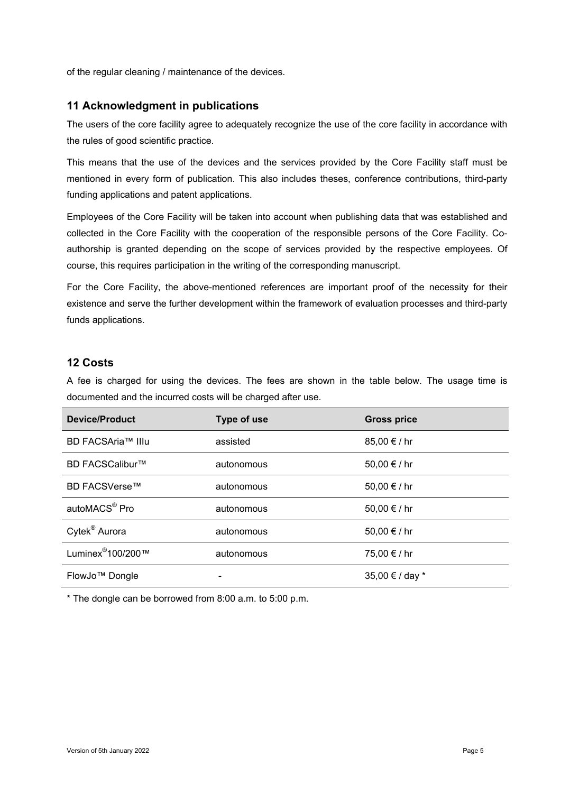of the regular cleaning / maintenance of the devices.

# 11 Acknowledgment in publications

The users of the core facility agree to adequately recognize the use of the core facility in accordance with the rules of good scientific practice.

This means that the use of the devices and the services provided by the Core Facility staff must be mentioned in every form of publication. This also includes theses, conference contributions, third-party funding applications and patent applications.

Employees of the Core Facility will be taken into account when publishing data that was established and collected in the Core Facility with the cooperation of the responsible persons of the Core Facility. Coauthorship is granted depending on the scope of services provided by the respective employees. Of course, this requires participation in the writing of the corresponding manuscript.

For the Core Facility, the above-mentioned references are important proof of the necessity for their existence and serve the further development within the framework of evaluation processes and third-party funds applications.

## 12 Costs

A fee is charged for using the devices. The fees are shown in the table below. The usage time is documented and the incurred costs will be charged after use.

| <b>Device/Product</b>         | Type of use | <b>Gross price</b> |
|-------------------------------|-------------|--------------------|
| BD FACSAria™ IIIu             | assisted    | 85,00 € / hr       |
| BD FACSCalibur™               | autonomous  | 50,00 € / hr       |
| <b>BD FACSVerse™</b>          | autonomous  | 50,00 € / hr       |
| autoMACS <sup>®</sup> Pro     | autonomous  | 50,00 € / hr       |
| Cytek <sup>®</sup> Aurora     | autonomous  | 50,00 € / hr       |
| Luminex <sup>®</sup> 100/200™ | autonomous  | 75,00 € / hr       |
| FlowJo <sup>™</sup> Dongle    |             | 35,00 € / day *    |

\* The dongle can be borrowed from 8:00 a.m. to 5:00 p.m.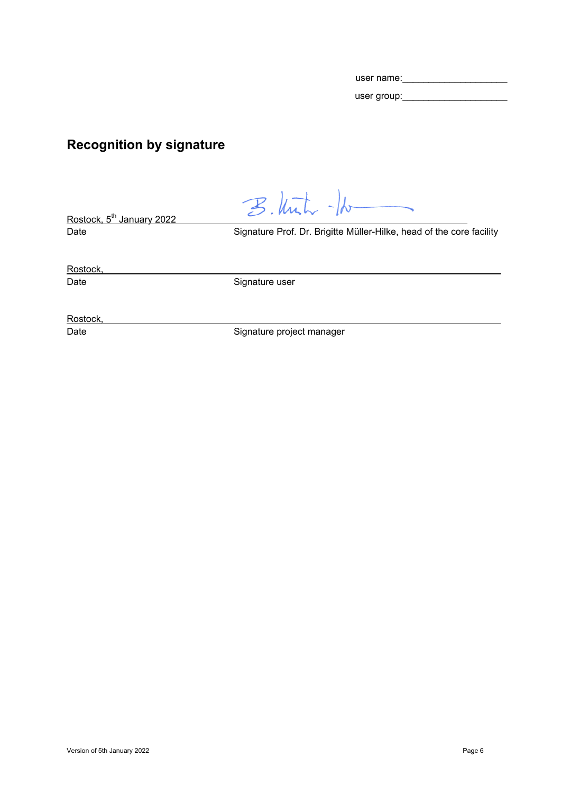| user name:  |  |
|-------------|--|
| user group: |  |

# Recognition by signature

 $B.$  With  $-k$ 

Rostock, 5<sup>th</sup> January 2022

Date **Signature Prof. Dr. Brigitte Müller-Hilke, head of the core facility** 

Rostock,

Date Signature user

Rostock,

Date **Signature project manager**